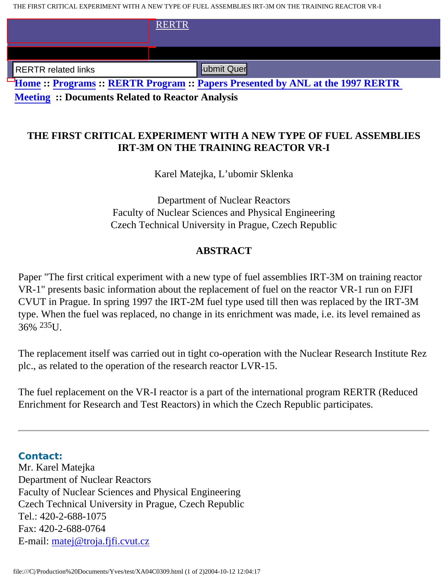THE FIRST CRITICAL EXPERIMENT WITH A NEW TYPE OF FUEL ASSEMBLIES IRT-3M ON THE TRAINING REACTOR VR-I

|                                                                                       | <b>RERTR</b> |
|---------------------------------------------------------------------------------------|--------------|
|                                                                                       |              |
| <b>RERTR</b> related links                                                            | ubmit Quer   |
| <b>Home :: Programs :: RERTR Program :: Papers Presented by ANL at the 1997 RERTR</b> |              |

**Meeting :: Documents Related to Reactor Analysis**

## **THE FIRST CRITICAL EXPERIMENT WITH A NEW TYPE OF FUEL ASSEMBLIES IRT-3M ON THE TRAINING REACTOR VR-I**

Karel Matejka, L'ubomir Sklenka

Department of Nuclear Reactors Faculty of Nuclear Sciences and Physical Engineering Czech Technical University in Prague, Czech Republic

## **ABSTRACT**

Paper "The first critical experiment with a new type of fuel assemblies IRT-3M on training reactor VR-1" presents basic information about the replacement of fuel on the reactor VR-1 run on FJFI CVUT in Prague. In spring 1997 the IRT-2M fuel type used till then was replaced by the IRT-3M type. When the fuel was replaced, no change in its enrichment was made, i.e. its level remained as 36% 235U.

The replacement itself was carried out in tight co-operation with the Nuclear Research Institute Rez plc., as related to the operation of the research reactor LVR-15.

The fuel replacement on the VR-I reactor is a part of the international program RERTR (Reduced Enrichment for Research and Test Reactors) in which the Czech Republic participates.

**Contact:** Mr. Karel Matejka Department of Nuclear Reactors Faculty of Nuclear Sciences and Physical Engineering Czech Technical University in Prague, Czech Republic Tel.: 420-2-688-1075 Fax: 420-2-688-0764 E-mail: matej@troja.fjfi.cvut.cz FIRENTR related links<br> **Home :: Programs :: RERTR Program :: Papers Presen<br>
Meeting :: Documents Related to Reactor Analysis<br>
THE FIRST CRITICAL EXPERIMENT WITH A N<br>
IRT-3M ON THE TRAINING R<br>
Karel Matejka, L'ubomir<br>
Depa**